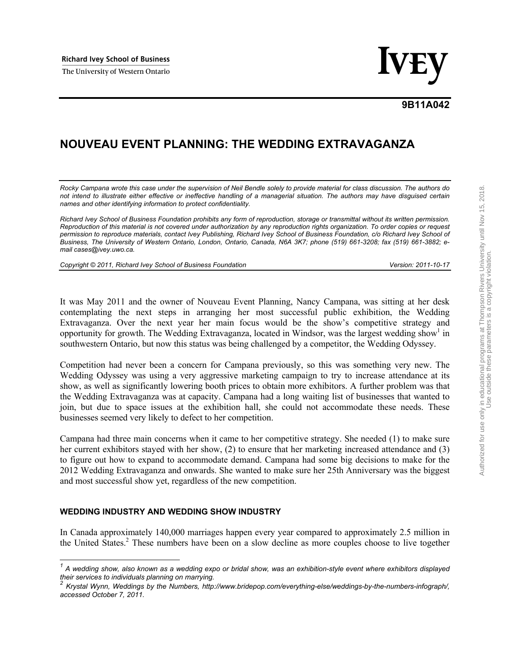Richard Ivey School of Business<br>The University of Western Ontario

# **9B11A042**

# **NOUVEAU EVENT PLANNING: THE WEDDING EXTRAVAGANZA**

*Rocky Campana wrote this case under the supervision of Neil Bendle solely to provide material for class discussion. The authors do not intend to illustrate either effective or ineffective handling of a managerial situation. The authors may have disguised certain names and other identifying information to protect confidentiality.* 

*Richard Ivey School of Business Foundation prohibits any form of reproduction, storage or transmittal without its written permission. Reproduction of this material is not covered under authorization by any reproduction rights organization. To order copies or request permission to reproduce materials, contact Ivey Publishing, Richard Ivey School of Business Foundation, c/o Richard Ivey School of Business, The University of Western Ontario, London, Ontario, Canada, N6A 3K7; phone (519) 661-3208; fax (519) 661-3882; email cases@ivey.uwo.ca.* 

*Copyright © 2011, Richard Ivey School of Business Foundation Version: 2011-10-17*

It was May 2011 and the owner of Nouveau Event Planning, Nancy Campana, was sitting at her desk contemplating the next steps in arranging her most successful public exhibition, the Wedding Extravaganza. Over the next year her main focus would be the show's competitive strategy and opportunity for growth. The Wedding Extravaganza, located in Windsor, was the largest wedding show<sup>1</sup> in southwestern Ontario, but now this status was being challenged by a competitor, the Wedding Odyssey.

Competition had never been a concern for Campana previously, so this was something very new. The Wedding Odyssey was using a very aggressive marketing campaign to try to increase attendance at its show, as well as significantly lowering booth prices to obtain more exhibitors. A further problem was that the Wedding Extravaganza was at capacity. Campana had a long waiting list of businesses that wanted to join, but due to space issues at the exhibition hall, she could not accommodate these needs. These businesses seemed very likely to defect to her competition.

Campana had three main concerns when it came to her competitive strategy. She needed (1) to make sure her current exhibitors stayed with her show, (2) to ensure that her marketing increased attendance and (3) to figure out how to expand to accommodate demand. Campana had some big decisions to make for the 2012 Wedding Extravaganza and onwards. She wanted to make sure her 25th Anniversary was the biggest and most successful show yet, regardless of the new competition.

#### **WEDDING INDUSTRY AND WEDDING SHOW INDUSTRY**

In Canada approximately 140,000 marriages happen every year compared to approximately 2.5 million in the United States.<sup>2</sup> These numbers have been on a slow decline as more couples choose to live together

 *1 A wedding show, also known as a wedding expo or bridal show, was an exhibition-style event where exhibitors displayed their services to individuals planning on marrying.* 

*<sup>2</sup> Krystal Wynn, Weddings by the Numbers, http://www.bridepop.com/everything-else/weddings-by-the-numbers-infograph/, accessed October 7, 2011.*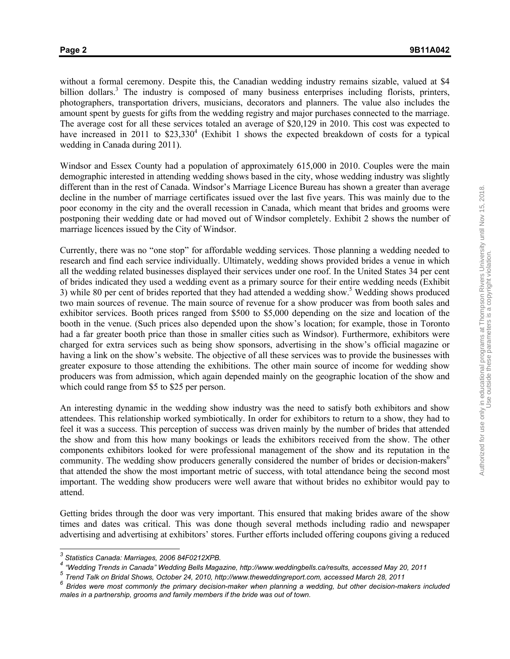without a formal ceremony. Despite this, the Canadian wedding industry remains sizable, valued at \$4 billion dollars.<sup>3</sup> The industry is composed of many business enterprises including florists, printers, photographers, transportation drivers, musicians, decorators and planners. The value also includes the amount spent by guests for gifts from the wedding registry and major purchases connected to the marriage. The average cost for all these services totaled an average of \$20,129 in 2010. This cost was expected to have increased in 2011 to \$23,330<sup>4</sup> (Exhibit 1 shows the expected breakdown of costs for a typical wedding in Canada during 2011).

Windsor and Essex County had a population of approximately 615,000 in 2010. Couples were the main demographic interested in attending wedding shows based in the city, whose wedding industry was slightly different than in the rest of Canada. Windsor's Marriage Licence Bureau has shown a greater than average decline in the number of marriage certificates issued over the last five years. This was mainly due to the poor economy in the city and the overall recession in Canada, which meant that brides and grooms were postponing their wedding date or had moved out of Windsor completely. Exhibit 2 shows the number of marriage licences issued by the City of Windsor.

Currently, there was no "one stop" for affordable wedding services. Those planning a wedding needed to research and find each service individually. Ultimately, wedding shows provided brides a venue in which all the wedding related businesses displayed their services under one roof. In the United States 34 per cent of brides indicated they used a wedding event as a primary source for their entire wedding needs (Exhibit 3) while 80 per cent of brides reported that they had attended a wedding show.<sup>5</sup> Wedding shows produced two main sources of revenue. The main source of revenue for a show producer was from booth sales and exhibitor services. Booth prices ranged from \$500 to \$5,000 depending on the size and location of the booth in the venue. (Such prices also depended upon the show's location; for example, those in Toronto had a far greater booth price than those in smaller cities such as Windsor). Furthermore, exhibitors were charged for extra services such as being show sponsors, advertising in the show's official magazine or having a link on the show's website. The objective of all these services was to provide the businesses with greater exposure to those attending the exhibitions. The other main source of income for wedding show producers was from admission, which again depended mainly on the geographic location of the show and which could range from \$5 to \$25 per person.

An interesting dynamic in the wedding show industry was the need to satisfy both exhibitors and show attendees. This relationship worked symbiotically. In order for exhibitors to return to a show, they had to feel it was a success. This perception of success was driven mainly by the number of brides that attended the show and from this how many bookings or leads the exhibitors received from the show. The other components exhibitors looked for were professional management of the show and its reputation in the community. The wedding show producers generally considered the number of brides or decision-makers<sup>6</sup> that attended the show the most important metric of success, with total attendance being the second most important. The wedding show producers were well aware that without brides no exhibitor would pay to attend.

Getting brides through the door was very important. This ensured that making brides aware of the show times and dates was critical. This was done though several methods including radio and newspaper advertising and advertising at exhibitors' stores. Further efforts included offering coupons giving a reduced

 *3 Statistics Canada: Marriages, 2006 84F0212XPB.* 

*<sup>4</sup> "Wedding Trends in Canada" Wedding Bells Magazine, http://www.weddingbells.ca/results, accessed May 20, 2011* 

*<sup>5</sup> Trend Talk on Bridal Shows, October 24, 2010, http://www.theweddingreport.com, accessed March 28, 2011* 

*<sup>6</sup> Brides were most commonly the primary decision-maker when planning a wedding, but other decision-makers included males in a partnership, grooms and family members if the bride was out of town.*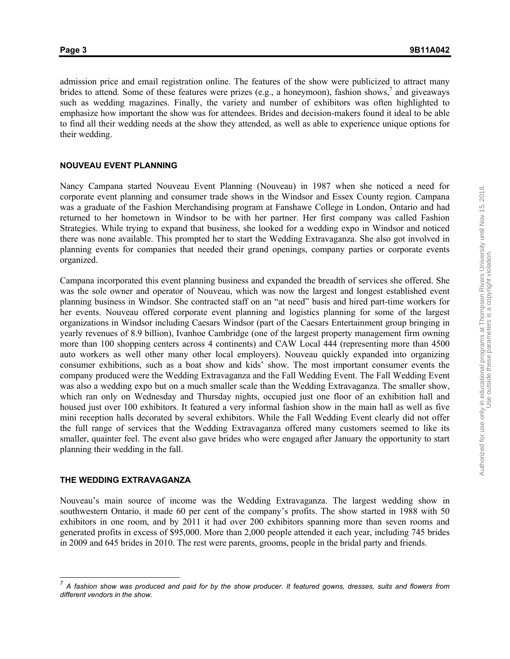admission price and email registration online. The features of the show were publicized to attract many brides to attend. Some of these features were prizes (e.g., a honeymoon), fashion shows,<sup>7</sup> and giveaways such as wedding magazines. Finally, the variety and number of exhibitors was often highlighted to emphasize how important the show was for attendees. Brides and decision-makers found it ideal to be able to find all their wedding needs at the show they attended, as well as able to experience unique options for their wedding.

#### **NOUVEAU EVENT PLANNING**

Nancy Campana started Nouveau Event Planning (Nouveau) in 1987 when she noticed a need for corporate event planning and consumer trade shows in the Windsor and Essex County region. Campana was a graduate of the Fashion Merchandising program at Fanshawe College in London, Ontario and had returned to her hometown in Windsor to be with her partner. Her first company was called Fashion Strategies. While trying to expand that business, she looked for a wedding expo in Windsor and noticed there was none available. This prompted her to start the Wedding Extravaganza. She also got involved in planning events for companies that needed their grand openings, company parties or corporate events organized.

Campana incorporated this event planning business and expanded the breadth of services she offered. She was the sole owner and operator of Nouveau, which was now the largest and longest established event planning business in Windsor. She contracted staff on an "at need" basis and hired part-time workers for her events. Nouveau offered corporate event planning and logistics planning for some of the largest organizations in Windsor including Caesars Windsor (part of the Caesars Entertainment group bringing in yearly revenues of 8.9 billion), Ivanhoe Cambridge (one of the largest property management firm owning more than 100 shopping centers across 4 continents) and CAW Local 444 (representing more than 4500 auto workers as well other many other local employers). Nouveau quickly expanded into organizing consumer exhibitions, such as a boat show and kids' show. The most important consumer events the company produced were the Wedding Extravaganza and the Fall Wedding Event. The Fall Wedding Event was also a wedding expo but on a much smaller scale than the Wedding Extravaganza. The smaller show, which ran only on Wednesday and Thursday nights, occupied just one floor of an exhibition hall and housed just over 100 exhibitors. It featured a very informal fashion show in the main hall as well as five mini reception halls decorated by several exhibitors. While the Fall Wedding Event clearly did not offer the full range of services that the Wedding Extravaganza offered many customers seemed to like its smaller, quainter feel. The event also gave brides who were engaged after January the opportunity to start planning their wedding in the fall.

#### **THE WEDDING EXTRAVAGANZA**

 $\overline{\phantom{a}}$ 

Nouveau's main source of income was the Wedding Extravaganza. The largest wedding show in southwestern Ontario, it made 60 per cent of the company's profits. The show started in 1988 with 50 exhibitors in one room, and by 2011 it had over 200 exhibitors spanning more than seven rooms and generated profits in excess of \$95,000. More than 2,000 people attended it each year, including 745 brides in 2009 and 645 brides in 2010. The rest were parents, grooms, people in the bridal party and friends.

*<sup>7</sup> A fashion show was produced and paid for by the show producer. It featured gowns, dresses, suits and flowers from different vendors in the show.*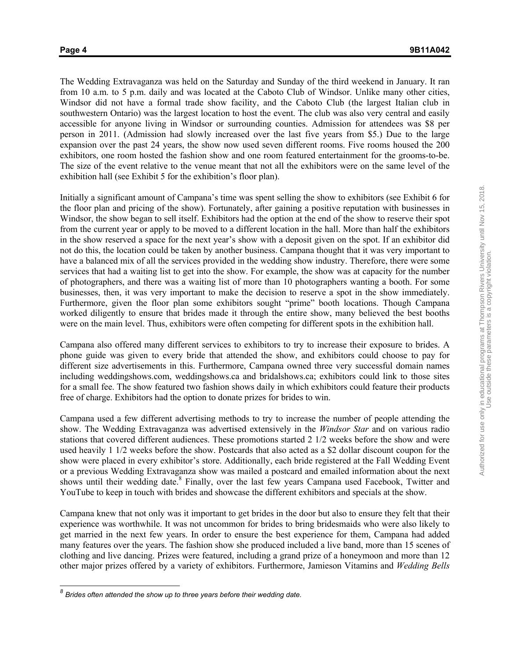$\overline{\phantom{a}}$ 

The Wedding Extravaganza was held on the Saturday and Sunday of the third weekend in January. It ran from 10 a.m. to 5 p.m. daily and was located at the Caboto Club of Windsor. Unlike many other cities, Windsor did not have a formal trade show facility, and the Caboto Club (the largest Italian club in southwestern Ontario) was the largest location to host the event. The club was also very central and easily accessible for anyone living in Windsor or surrounding counties. Admission for attendees was \$8 per person in 2011. (Admission had slowly increased over the last five years from \$5.) Due to the large expansion over the past 24 years, the show now used seven different rooms. Five rooms housed the 200 exhibitors, one room hosted the fashion show and one room featured entertainment for the grooms-to-be. The size of the event relative to the venue meant that not all the exhibitors were on the same level of the exhibition hall (see Exhibit 5 for the exhibition's floor plan).

Initially a significant amount of Campana's time was spent selling the show to exhibitors (see Exhibit 6 for the floor plan and pricing of the show). Fortunately, after gaining a positive reputation with businesses in Windsor, the show began to sell itself. Exhibitors had the option at the end of the show to reserve their spot from the current year or apply to be moved to a different location in the hall. More than half the exhibitors in the show reserved a space for the next year's show with a deposit given on the spot. If an exhibitor did not do this, the location could be taken by another business. Campana thought that it was very important to have a balanced mix of all the services provided in the wedding show industry. Therefore, there were some services that had a waiting list to get into the show. For example, the show was at capacity for the number of photographers, and there was a waiting list of more than 10 photographers wanting a booth. For some businesses, then, it was very important to make the decision to reserve a spot in the show immediately. Furthermore, given the floor plan some exhibitors sought "prime" booth locations. Though Campana worked diligently to ensure that brides made it through the entire show, many believed the best booths were on the main level. Thus, exhibitors were often competing for different spots in the exhibition hall.

Campana also offered many different services to exhibitors to try to increase their exposure to brides. A phone guide was given to every bride that attended the show, and exhibitors could choose to pay for different size advertisements in this. Furthermore, Campana owned three very successful domain names including weddingshows.com, weddingshows.ca and bridalshows.ca; exhibitors could link to those sites for a small fee. The show featured two fashion shows daily in which exhibitors could feature their products free of charge. Exhibitors had the option to donate prizes for brides to win.

Campana used a few different advertising methods to try to increase the number of people attending the show. The Wedding Extravaganza was advertised extensively in the *Windsor Star* and on various radio stations that covered different audiences. These promotions started 2 1/2 weeks before the show and were used heavily 1 1/2 weeks before the show. Postcards that also acted as a \$2 dollar discount coupon for the show were placed in every exhibitor's store. Additionally, each bride registered at the Fall Wedding Event or a previous Wedding Extravaganza show was mailed a postcard and emailed information about the next shows until their wedding date.<sup>8</sup> Finally, over the last few years Campana used Facebook, Twitter and YouTube to keep in touch with brides and showcase the different exhibitors and specials at the show.

Campana knew that not only was it important to get brides in the door but also to ensure they felt that their experience was worthwhile. It was not uncommon for brides to bring bridesmaids who were also likely to get married in the next few years. In order to ensure the best experience for them, Campana had added many features over the years. The fashion show she produced included a live band, more than 15 scenes of clothing and live dancing. Prizes were featured, including a grand prize of a honeymoon and more than 12 other major prizes offered by a variety of exhibitors. Furthermore, Jamieson Vitamins and *Wedding Bells* 

*<sup>8</sup> Brides often attended the show up to three years before their wedding date.*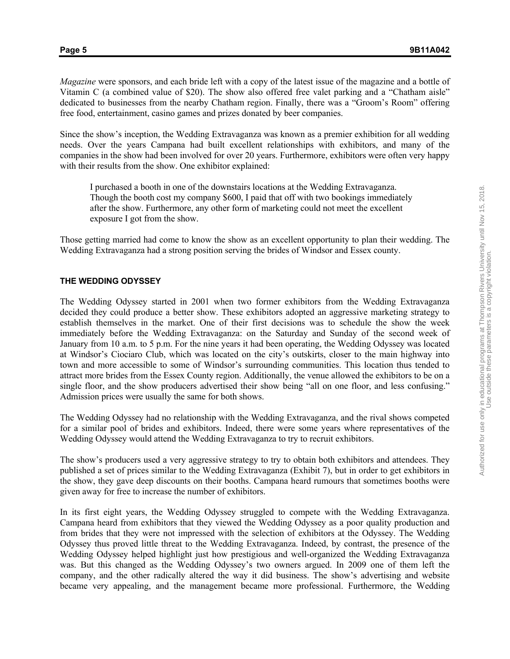*Magazine* were sponsors, and each bride left with a copy of the latest issue of the magazine and a bottle of Vitamin C (a combined value of \$20). The show also offered free valet parking and a "Chatham aisle" dedicated to businesses from the nearby Chatham region. Finally, there was a "Groom's Room" offering free food, entertainment, casino games and prizes donated by beer companies.

Since the show's inception, the Wedding Extravaganza was known as a premier exhibition for all wedding needs. Over the years Campana had built excellent relationships with exhibitors, and many of the companies in the show had been involved for over 20 years. Furthermore, exhibitors were often very happy with their results from the show. One exhibitor explained:

I purchased a booth in one of the downstairs locations at the Wedding Extravaganza. Though the booth cost my company \$600, I paid that off with two bookings immediately after the show. Furthermore, any other form of marketing could not meet the excellent exposure I got from the show.

Those getting married had come to know the show as an excellent opportunity to plan their wedding. The Wedding Extravaganza had a strong position serving the brides of Windsor and Essex county.

#### **THE WEDDING ODYSSEY**

The Wedding Odyssey started in 2001 when two former exhibitors from the Wedding Extravaganza decided they could produce a better show. These exhibitors adopted an aggressive marketing strategy to establish themselves in the market. One of their first decisions was to schedule the show the week immediately before the Wedding Extravaganza: on the Saturday and Sunday of the second week of January from 10 a.m. to 5 p.m. For the nine years it had been operating, the Wedding Odyssey was located at Windsor's Ciociaro Club, which was located on the city's outskirts, closer to the main highway into town and more accessible to some of Windsor's surrounding communities. This location thus tended to attract more brides from the Essex County region. Additionally, the venue allowed the exhibitors to be on a single floor, and the show producers advertised their show being "all on one floor, and less confusing." Admission prices were usually the same for both shows.

The Wedding Odyssey had no relationship with the Wedding Extravaganza, and the rival shows competed for a similar pool of brides and exhibitors. Indeed, there were some years where representatives of the Wedding Odyssey would attend the Wedding Extravaganza to try to recruit exhibitors.

The show's producers used a very aggressive strategy to try to obtain both exhibitors and attendees. They published a set of prices similar to the Wedding Extravaganza (Exhibit 7), but in order to get exhibitors in the show, they gave deep discounts on their booths. Campana heard rumours that sometimes booths were given away for free to increase the number of exhibitors.

In its first eight years, the Wedding Odyssey struggled to compete with the Wedding Extravaganza. Campana heard from exhibitors that they viewed the Wedding Odyssey as a poor quality production and from brides that they were not impressed with the selection of exhibitors at the Odyssey. The Wedding Odyssey thus proved little threat to the Wedding Extravaganza. Indeed, by contrast, the presence of the Wedding Odyssey helped highlight just how prestigious and well-organized the Wedding Extravaganza was. But this changed as the Wedding Odyssey's two owners argued. In 2009 one of them left the company, and the other radically altered the way it did business. The show's advertising and website became very appealing, and the management became more professional. Furthermore, the Wedding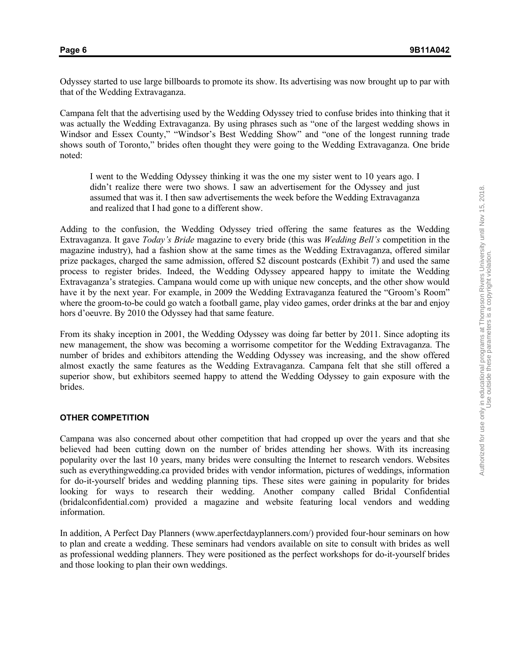Odyssey started to use large billboards to promote its show. Its advertising was now brought up to par with that of the Wedding Extravaganza.

Campana felt that the advertising used by the Wedding Odyssey tried to confuse brides into thinking that it was actually the Wedding Extravaganza. By using phrases such as "one of the largest wedding shows in Windsor and Essex County," "Windsor's Best Wedding Show" and "one of the longest running trade shows south of Toronto," brides often thought they were going to the Wedding Extravaganza. One bride noted:

I went to the Wedding Odyssey thinking it was the one my sister went to 10 years ago. I didn't realize there were two shows. I saw an advertisement for the Odyssey and just assumed that was it. I then saw advertisements the week before the Wedding Extravaganza and realized that I had gone to a different show.

Adding to the confusion, the Wedding Odyssey tried offering the same features as the Wedding Extravaganza. It gave *Today's Bride* magazine to every bride (this was *Wedding Bell's* competition in the magazine industry), had a fashion show at the same times as the Wedding Extravaganza, offered similar prize packages, charged the same admission, offered \$2 discount postcards (Exhibit 7) and used the same process to register brides. Indeed, the Wedding Odyssey appeared happy to imitate the Wedding Extravaganza's strategies. Campana would come up with unique new concepts, and the other show would have it by the next year. For example, in 2009 the Wedding Extravaganza featured the "Groom's Room" where the groom-to-be could go watch a football game, play video games, order drinks at the bar and enjoy hors d'oeuvre. By 2010 the Odyssey had that same feature.

From its shaky inception in 2001, the Wedding Odyssey was doing far better by 2011. Since adopting its new management, the show was becoming a worrisome competitor for the Wedding Extravaganza. The number of brides and exhibitors attending the Wedding Odyssey was increasing, and the show offered almost exactly the same features as the Wedding Extravaganza. Campana felt that she still offered a superior show, but exhibitors seemed happy to attend the Wedding Odyssey to gain exposure with the brides.

#### **OTHER COMPETITION**

Campana was also concerned about other competition that had cropped up over the years and that she believed had been cutting down on the number of brides attending her shows. With its increasing popularity over the last 10 years, many brides were consulting the Internet to research vendors. Websites such as everythingwedding.ca provided brides with vendor information, pictures of weddings, information for do-it-yourself brides and wedding planning tips. These sites were gaining in popularity for brides looking for ways to research their wedding. Another company called Bridal Confidential (bridalconfidential.com) provided a magazine and website featuring local vendors and wedding information.

In addition, A Perfect Day Planners (www.aperfectdayplanners.com/) provided four-hour seminars on how to plan and create a wedding. These seminars had vendors available on site to consult with brides as well as professional wedding planners. They were positioned as the perfect workshops for do-it-yourself brides and those looking to plan their own weddings.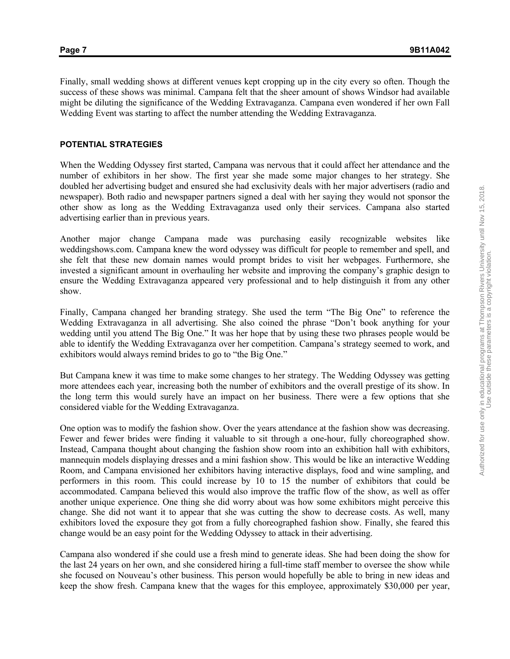Finally, small wedding shows at different venues kept cropping up in the city every so often. Though the success of these shows was minimal. Campana felt that the sheer amount of shows Windsor had available might be diluting the significance of the Wedding Extravaganza. Campana even wondered if her own Fall Wedding Event was starting to affect the number attending the Wedding Extravaganza.

#### **POTENTIAL STRATEGIES**

When the Wedding Odyssey first started, Campana was nervous that it could affect her attendance and the number of exhibitors in her show. The first year she made some major changes to her strategy. She doubled her advertising budget and ensured she had exclusivity deals with her major advertisers (radio and newspaper). Both radio and newspaper partners signed a deal with her saying they would not sponsor the other show as long as the Wedding Extravaganza used only their services. Campana also started advertising earlier than in previous years.

Another major change Campana made was purchasing easily recognizable websites like weddingshows.com. Campana knew the word odyssey was difficult for people to remember and spell, and she felt that these new domain names would prompt brides to visit her webpages. Furthermore, she invested a significant amount in overhauling her website and improving the company's graphic design to ensure the Wedding Extravaganza appeared very professional and to help distinguish it from any other show.

Finally, Campana changed her branding strategy. She used the term "The Big One" to reference the Wedding Extravaganza in all advertising. She also coined the phrase "Don't book anything for your wedding until you attend The Big One." It was her hope that by using these two phrases people would be able to identify the Wedding Extravaganza over her competition. Campana's strategy seemed to work, and exhibitors would always remind brides to go to "the Big One."

But Campana knew it was time to make some changes to her strategy. The Wedding Odyssey was getting more attendees each year, increasing both the number of exhibitors and the overall prestige of its show. In the long term this would surely have an impact on her business. There were a few options that she considered viable for the Wedding Extravaganza.

One option was to modify the fashion show. Over the years attendance at the fashion show was decreasing. Fewer and fewer brides were finding it valuable to sit through a one-hour, fully choreographed show. Instead, Campana thought about changing the fashion show room into an exhibition hall with exhibitors, mannequin models displaying dresses and a mini fashion show. This would be like an interactive Wedding Room, and Campana envisioned her exhibitors having interactive displays, food and wine sampling, and performers in this room. This could increase by 10 to 15 the number of exhibitors that could be accommodated. Campana believed this would also improve the traffic flow of the show, as well as offer another unique experience. One thing she did worry about was how some exhibitors might perceive this change. She did not want it to appear that she was cutting the show to decrease costs. As well, many exhibitors loved the exposure they got from a fully choreographed fashion show. Finally, she feared this change would be an easy point for the Wedding Odyssey to attack in their advertising.

Campana also wondered if she could use a fresh mind to generate ideas. She had been doing the show for the last 24 years on her own, and she considered hiring a full-time staff member to oversee the show while she focused on Nouveau's other business. This person would hopefully be able to bring in new ideas and keep the show fresh. Campana knew that the wages for this employee, approximately \$30,000 per year,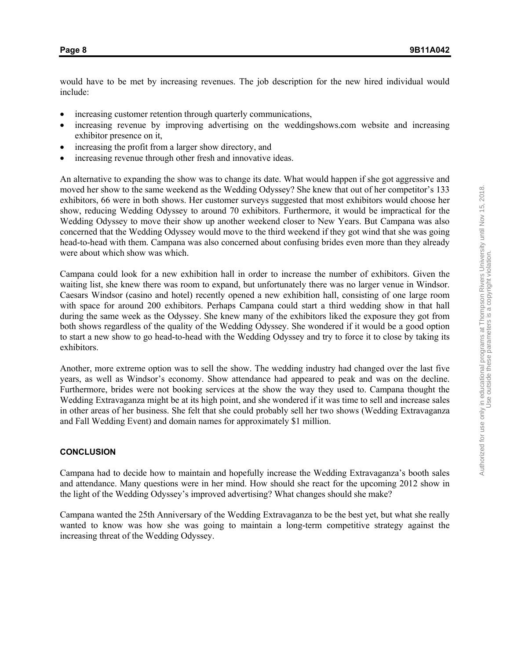would have to be met by increasing revenues. The job description for the new hired individual would include:

- increasing customer retention through quarterly communications,
- increasing revenue by improving advertising on the weddingshows.com website and increasing exhibitor presence on it,
- increasing the profit from a larger show directory, and
- increasing revenue through other fresh and innovative ideas.

An alternative to expanding the show was to change its date. What would happen if she got aggressive and moved her show to the same weekend as the Wedding Odyssey? She knew that out of her competitor's 133 exhibitors, 66 were in both shows. Her customer surveys suggested that most exhibitors would choose her show, reducing Wedding Odyssey to around 70 exhibitors. Furthermore, it would be impractical for the Wedding Odyssey to move their show up another weekend closer to New Years. But Campana was also concerned that the Wedding Odyssey would move to the third weekend if they got wind that she was going head-to-head with them. Campana was also concerned about confusing brides even more than they already were about which show was which.

Campana could look for a new exhibition hall in order to increase the number of exhibitors. Given the waiting list, she knew there was room to expand, but unfortunately there was no larger venue in Windsor. Caesars Windsor (casino and hotel) recently opened a new exhibition hall, consisting of one large room with space for around 200 exhibitors. Perhaps Campana could start a third wedding show in that hall during the same week as the Odyssey. She knew many of the exhibitors liked the exposure they got from both shows regardless of the quality of the Wedding Odyssey. She wondered if it would be a good option to start a new show to go head-to-head with the Wedding Odyssey and try to force it to close by taking its exhibitors.

Another, more extreme option was to sell the show. The wedding industry had changed over the last five years, as well as Windsor's economy. Show attendance had appeared to peak and was on the decline. Furthermore, brides were not booking services at the show the way they used to. Campana thought the Wedding Extravaganza might be at its high point, and she wondered if it was time to sell and increase sales in other areas of her business. She felt that she could probably sell her two shows (Wedding Extravaganza and Fall Wedding Event) and domain names for approximately \$1 million.

#### **CONCLUSION**

Campana had to decide how to maintain and hopefully increase the Wedding Extravaganza's booth sales and attendance. Many questions were in her mind. How should she react for the upcoming 2012 show in the light of the Wedding Odyssey's improved advertising? What changes should she make?

Campana wanted the 25th Anniversary of the Wedding Extravaganza to be the best yet, but what she really wanted to know was how she was going to maintain a long-term competitive strategy against the increasing threat of the Wedding Odyssey.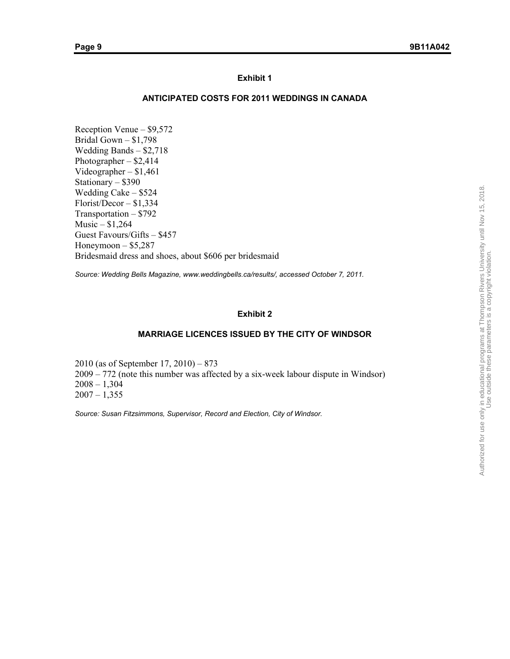#### **ANTICIPATED COSTS FOR 2011 WEDDINGS IN CANADA**

Reception Venue – \$9,572 Bridal Gown – \$1,798 Wedding Bands – \$2,718 Photographer – \$2,414 Videographer – \$1,461 Stationary – \$390 Wedding Cake – \$524 Florist/Decor – \$1,334 Transportation – \$792 Music – \$1,264 Guest Favours/Gifts – \$457 Honeymoon  $-$  \$5,287 Bridesmaid dress and shoes, about \$606 per bridesmaid

*Source: Wedding Bells Magazine, www.weddingbells.ca/results/, accessed October 7, 2011.* 

#### **Exhibit 2**

#### **MARRIAGE LICENCES ISSUED BY THE CITY OF WINDSOR**

2010 (as of September 17, 2010) – 873 2009 – 772 (note this number was affected by a six-week labour dispute in Windsor)  $2008 - 1,304$  $2007 - 1,355$ 

*Source: Susan Fitzsimmons, Supervisor, Record and Election, City of Windsor.*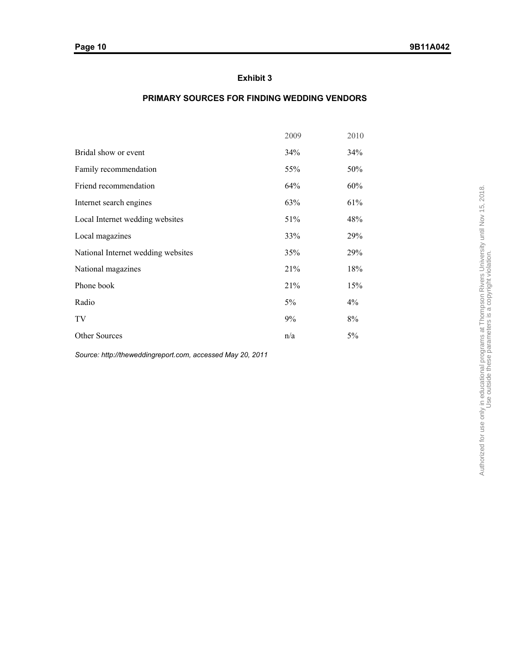# **PRIMARY SOURCES FOR FINDING WEDDING VENDORS**

|                                    | 2009 | 2010  |
|------------------------------------|------|-------|
| Bridal show or event               | 34%  | 34%   |
| Family recommendation              | 55%  | 50%   |
| Friend recommendation              | 64%  | 60%   |
| Internet search engines            | 63%  | 61%   |
| Local Internet wedding websites    | 51%  | 48%   |
| Local magazines                    | 33%  | 29%   |
| National Internet wedding websites | 35%  | 29%   |
| National magazines                 | 21%  | 18%   |
| Phone book                         | 21%  | 15%   |
| Radio                              | 5%   | $4\%$ |
| TV                                 | 9%   | $8\%$ |
| Other Sources                      | n/a  | 5%    |
|                                    |      |       |

*Source: http://theweddingreport.com, accessed May 20, 2011*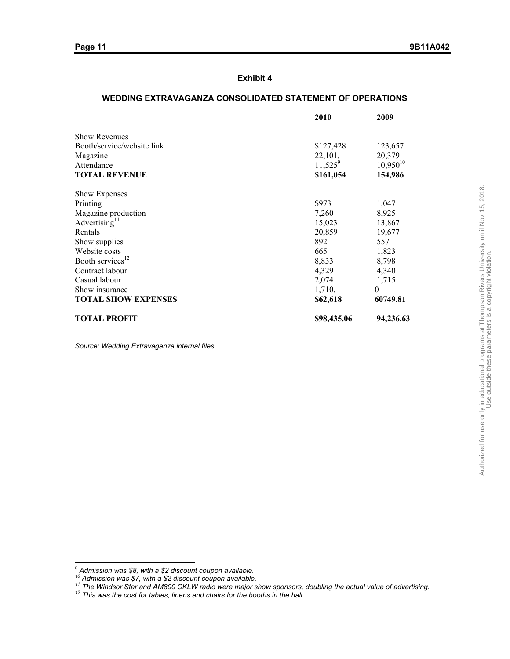# **WEDDING EXTRAVAGANZA CONSOLIDATED STATEMENT OF OPERATIONS**

|                              | 2010        | 2009          |
|------------------------------|-------------|---------------|
| <b>Show Revenues</b>         |             |               |
| Booth/service/website link   | \$127,428   | 123,657       |
| Magazine                     | 22,101,     | 20,379        |
| Attendance                   | $11,525^9$  | $10,950^{10}$ |
| <b>TOTAL REVENUE</b>         | \$161,054   | 154,986       |
| <b>Show Expenses</b>         |             |               |
| Printing                     | \$973       | 1,047         |
| Magazine production          | 7,260       | 8,925         |
| Advertising $11$             | 15,023      | 13,867        |
| Rentals                      | 20,859      | 19,677        |
| Show supplies                | 892         | 557           |
| Website costs                | 665         | 1,823         |
| Booth services <sup>12</sup> | 8,833       | 8,798         |
| Contract labour              | 4,329       | 4,340         |
| Casual labour                | 2,074       | 1,715         |
| Show insurance               | 1,710,      | $\theta$      |
| <b>TOTAL SHOW EXPENSES</b>   | \$62,618    | 60749.81      |
| <b>TOTAL PROFIT</b>          | \$98,435.06 | 94,236.63     |

*Source: Wedding Extravaganza internal files.* 

 *9 Admission was \$8, with a \$2 discount coupon available.* 

<sup>&</sup>lt;sup>10</sup> Admission was \$7, with a \$2 discount coupon available.<br><sup>11</sup> <u>The Windsor Star</u> and AM800 CKLW radio were major show sponsors, doubling the actual value of advertising.<br><sup>12</sup> This was the cost for tables, linens and cha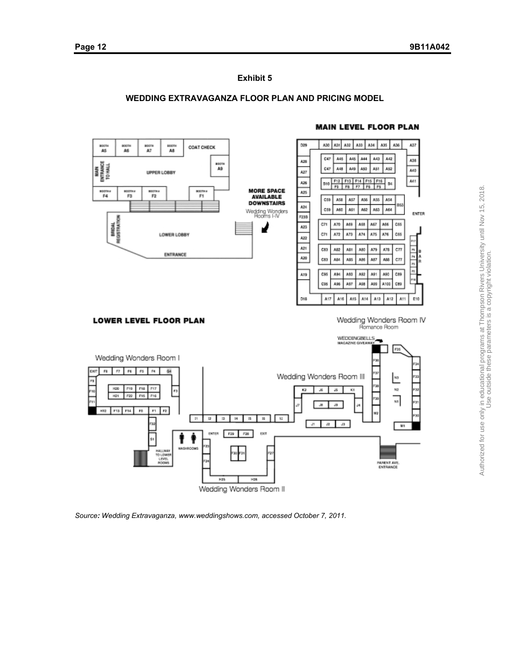# **WEDDING EXTRAVAGANZA FLOOR PLAN AND PRICING MODEL**



*Source: Wedding Extravaganza, www.weddingshows.com, accessed October 7, 2011.*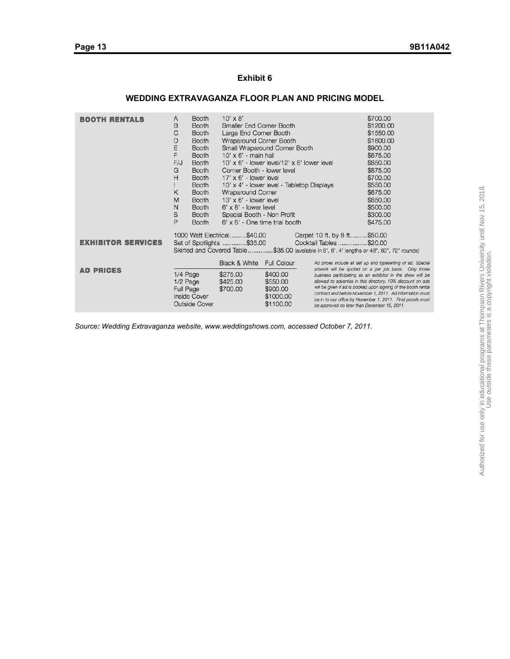# **WEDDING EXTRAVAGANZA FLOOR PLAN AND PRICING MODEL**

| <b>BOOTH RENTALS</b>      | A<br>Β<br>С<br>D<br>E<br>F<br>F/J<br>G<br>Η<br>K<br>M<br>N                                                                                                                                                        | <b>Booth</b><br><b>Booth</b><br><b>Booth</b><br><b>Booth</b><br><b>Booth</b><br><b>Booth</b><br><b>Booth</b><br><b>Booth</b><br><b>Booth</b><br><b>Booth</b><br><b>Booth</b><br><b>Booth</b><br><b>Booth</b> | $10' \times 8'$<br>Smaller End Corner Booth<br>Large End Corner Booth<br>Wraparound Corner Booth<br>$10' \times 6'$ - main hall<br>Corner Booth - lower level<br>$17' \times 6'$ - lower level<br>Wraparound Corner<br>$13' \times 6'$ - lower level<br>$6' \times 8'$ - lower level | Small Wraparound Corner Booth<br>$10' \times 6'$ - lower level/12' $\times 6'$ lower level<br>10' x 4' - lower level - Tabletop Displays |                                                                                                                                                                                                                                                                                                                                                                                                                                 | \$700.00<br>\$1200.00<br>\$1550.00<br>\$1600.00<br>\$900.00<br>\$675.00<br>\$650.00<br>\$875.00<br>\$700.00<br>\$550.00<br>\$675.00<br>\$650.00<br>\$500.00 |
|---------------------------|-------------------------------------------------------------------------------------------------------------------------------------------------------------------------------------------------------------------|--------------------------------------------------------------------------------------------------------------------------------------------------------------------------------------------------------------|--------------------------------------------------------------------------------------------------------------------------------------------------------------------------------------------------------------------------------------------------------------------------------------|------------------------------------------------------------------------------------------------------------------------------------------|---------------------------------------------------------------------------------------------------------------------------------------------------------------------------------------------------------------------------------------------------------------------------------------------------------------------------------------------------------------------------------------------------------------------------------|-------------------------------------------------------------------------------------------------------------------------------------------------------------|
|                           | S<br>P                                                                                                                                                                                                            | <b>Booth</b><br><b>Booth</b>                                                                                                                                                                                 | Special Booth - Non Profit<br>$6' \times 6'$ - One time trial booth                                                                                                                                                                                                                  |                                                                                                                                          |                                                                                                                                                                                                                                                                                                                                                                                                                                 | \$300.00<br>\$475.00                                                                                                                                        |
| <b>EXHIBITOR SERVICES</b> | 1000 Watt Electrical\$40.00<br>Carpet 10 ft. by 8 ft\$50.00<br>Cocktail Tables \$20.00<br>Set of Spotlights \$35.00<br>Skirted and Covered Table\$35.00 (available in 8', 6', 4' lengths or 48", 60", 72" rounds) |                                                                                                                                                                                                              |                                                                                                                                                                                                                                                                                      |                                                                                                                                          |                                                                                                                                                                                                                                                                                                                                                                                                                                 |                                                                                                                                                             |
|                           |                                                                                                                                                                                                                   |                                                                                                                                                                                                              | Black & White                                                                                                                                                                                                                                                                        | <b>Full Colour</b>                                                                                                                       |                                                                                                                                                                                                                                                                                                                                                                                                                                 | Ad prices include all set up and typesetting of ad. Special                                                                                                 |
| <b>AD PRICES</b>          | 1/4 Page<br>$1/2$ Page<br>Full Page                                                                                                                                                                               | <b>Inside Cover</b><br><b>Outside Cover</b>                                                                                                                                                                  | \$275.00<br>\$425.00<br>\$700.00                                                                                                                                                                                                                                                     | \$400.00<br>\$550.00<br>\$900.00<br>\$1000.00<br>\$1100.00                                                                               | artwork will be quoted on a per job basis. Only those<br>business participating as an exhibitor in the show will be<br>allowed to advertise in this directory. 10% discount on ads<br>will be given if ad is booked upon signing of the booth rental<br>contract and before November 1, 2011. Ad information must<br>be in to our office by November 1, 2011. Final proofs must<br>be approved no later than December 15, 2011. |                                                                                                                                                             |

*Source: Wedding Extravaganza website, www.weddingshows.com, accessed October 7, 2011.*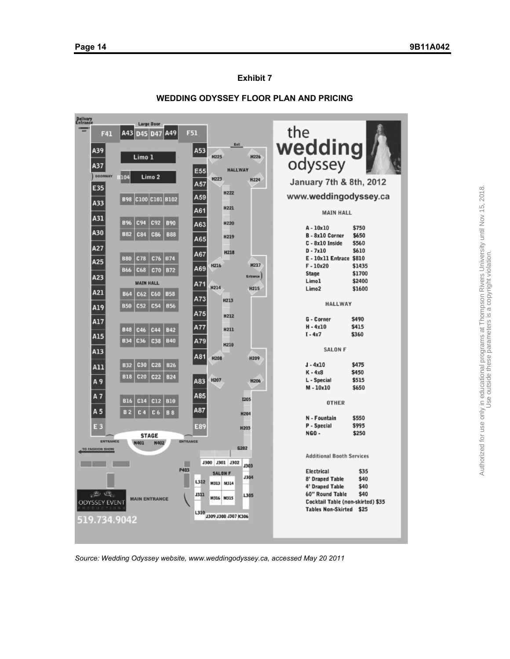

#### **WEDDING ODYSSEY FLOOR PLAN AND PRICING**

*Source: Wedding Odyssey website, www.weddingodyssey.ca, accessed May 20 2011*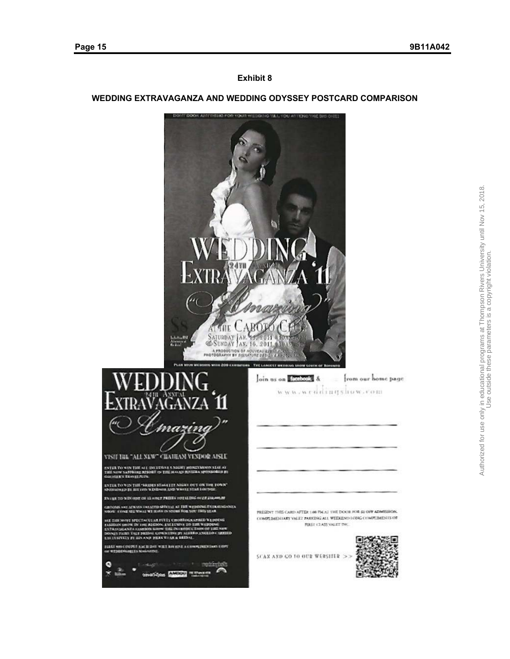# **WEDDING EXTRAVAGANZA AND WEDDING ODYSSEY POSTCARD COMPARISON**



۰